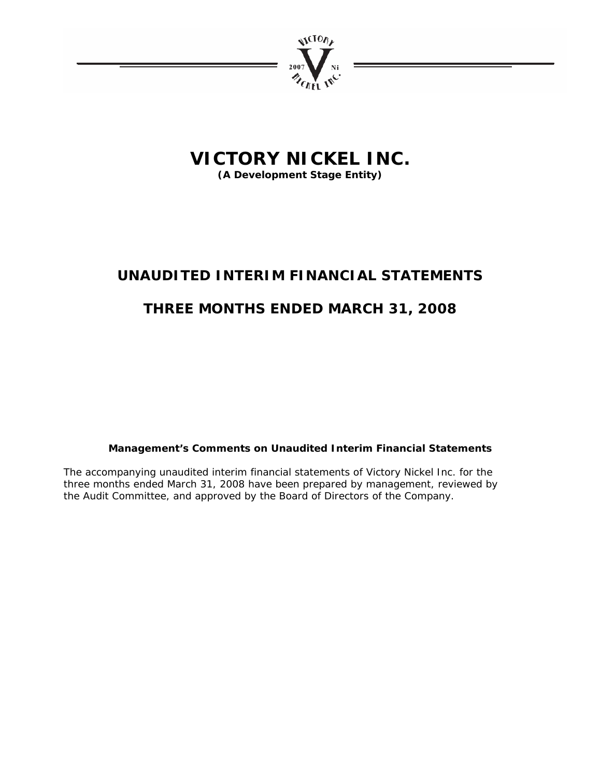

**(A Development Stage Entity)** 

# **UNAUDITED INTERIM FINANCIAL STATEMENTS**

# **THREE MONTHS ENDED MARCH 31, 2008**

**Management's Comments on Unaudited Interim Financial Statements** 

The accompanying unaudited interim financial statements of Victory Nickel Inc. for the three months ended March 31, 2008 have been prepared by management, reviewed by the Audit Committee, and approved by the Board of Directors of the Company.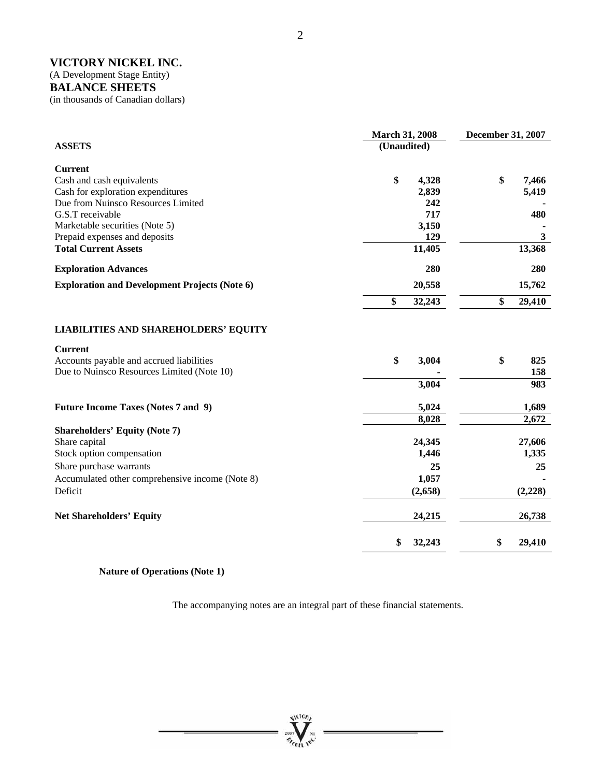(A Development Stage Entity)

## **BALANCE SHEETS**

(in thousands of Canadian dollars)

|                                                      | <b>March 31, 2008</b> | December 31, 2007 |  |  |
|------------------------------------------------------|-----------------------|-------------------|--|--|
| <b>ASSETS</b>                                        | (Unaudited)           |                   |  |  |
| <b>Current</b>                                       |                       |                   |  |  |
| Cash and cash equivalents                            | \$<br>4,328           | \$<br>7,466       |  |  |
| Cash for exploration expenditures                    | 2,839                 | 5,419             |  |  |
| Due from Nuinsco Resources Limited                   | 242                   |                   |  |  |
| G.S.T receivable                                     | 717                   | 480               |  |  |
| Marketable securities (Note 5)                       | 3,150                 |                   |  |  |
| Prepaid expenses and deposits                        | 129                   | 3                 |  |  |
| <b>Total Current Assets</b>                          | 11,405                | 13,368            |  |  |
| <b>Exploration Advances</b>                          | 280                   | 280               |  |  |
| <b>Exploration and Development Projects (Note 6)</b> | 20,558                | 15,762            |  |  |
|                                                      | \$<br>32,243          | \$<br>29,410      |  |  |
| <b>LIABILITIES AND SHAREHOLDERS' EQUITY</b>          |                       |                   |  |  |
| <b>Current</b>                                       |                       |                   |  |  |
| Accounts payable and accrued liabilities             | \$<br>3,004           | \$<br>825         |  |  |
| Due to Nuinsco Resources Limited (Note 10)           |                       | 158               |  |  |
|                                                      | 3,004                 | 983               |  |  |
| Future Income Taxes (Notes 7 and 9)                  | 5,024                 | 1,689             |  |  |
|                                                      | 8,028                 | 2,672             |  |  |
| <b>Shareholders' Equity (Note 7)</b>                 |                       |                   |  |  |
| Share capital                                        | 24,345                | 27,606            |  |  |
| Stock option compensation                            | 1,446                 | 1,335             |  |  |
| Share purchase warrants                              | 25                    | 25                |  |  |
| Accumulated other comprehensive income (Note 8)      | 1,057                 |                   |  |  |
| Deficit                                              | (2,658)               | (2,228)           |  |  |
| <b>Net Shareholders' Equity</b>                      | 24,215                | 26,738            |  |  |
|                                                      | 32,243<br>\$          | \$<br>29,410      |  |  |

**Nature of Operations (Note 1)**

The accompanying notes are an integral part of these financial statements.

**WEIONA** 

**SHELL IRE** 

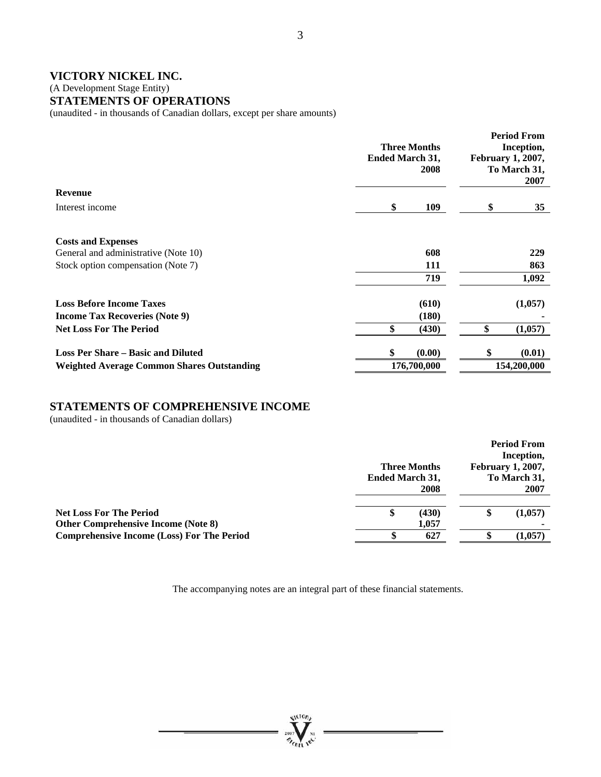(A Development Stage Entity)

## **STATEMENTS OF OPERATIONS**

(unaudited - in thousands of Canadian dollars, except per share amounts)

|                                                   | <b>Three Months</b><br><b>Ended March 31,</b><br>2008 |    |             |
|---------------------------------------------------|-------------------------------------------------------|----|-------------|
| <b>Revenue</b>                                    |                                                       |    |             |
| Interest income                                   | \$<br>109                                             | \$ | 35          |
| <b>Costs and Expenses</b>                         |                                                       |    |             |
| General and administrative (Note 10)              | 608                                                   |    | 229         |
| Stock option compensation (Note 7)                | 111                                                   |    | 863         |
|                                                   | 719                                                   |    | 1,092       |
| <b>Loss Before Income Taxes</b>                   | (610)                                                 |    | (1,057)     |
| <b>Income Tax Recoveries (Note 9)</b>             | (180)                                                 |    |             |
| <b>Net Loss For The Period</b>                    | \$<br>(430)                                           | \$ | (1,057)     |
| <b>Loss Per Share – Basic and Diluted</b>         | (0.00)                                                | \$ | (0.01)      |
| <b>Weighted Average Common Shares Outstanding</b> | 176,700,000                                           |    | 154,200,000 |

## **STATEMENTS OF COMPREHENSIVE INCOME**

(unaudited - in thousands of Canadian dollars)

|                                                                              |                        |                             |                                                  | <b>Period From</b><br>Inception, |
|------------------------------------------------------------------------------|------------------------|-----------------------------|--------------------------------------------------|----------------------------------|
|                                                                              | <b>Ended March 31,</b> | <b>Three Months</b><br>2008 | <b>February 1, 2007,</b><br>To March 31,<br>2007 |                                  |
| <b>Net Loss For The Period</b><br><b>Other Comprehensive Income (Note 8)</b> |                        | (430)<br>1,057              |                                                  | (1,057)                          |
| <b>Comprehensive Income (Loss) For The Period</b>                            |                        | 627                         |                                                  | (1,057)                          |

The accompanying notes are an integral part of these financial statements.

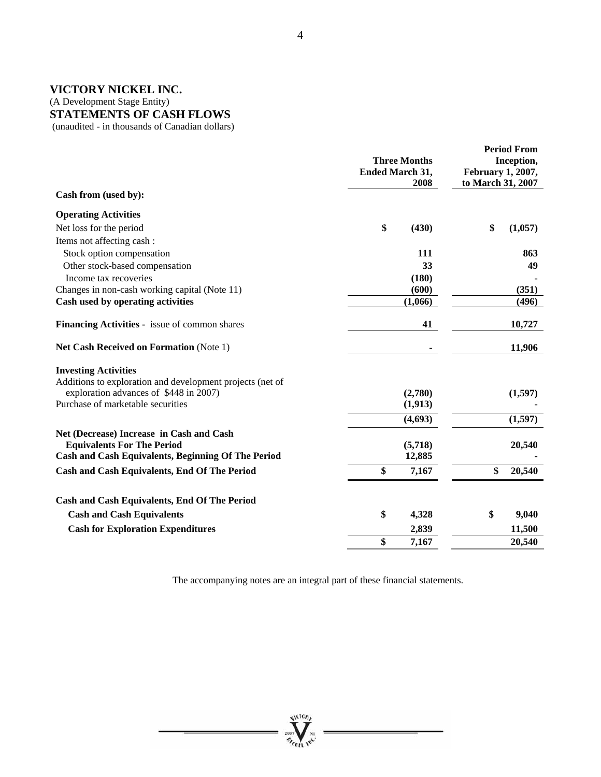(A Development Stage Entity)

# **STATEMENTS OF CASH FLOWS**

(unaudited - in thousands of Canadian dollars)

|                                                           | Ended March 31, | <b>Three Months</b><br>2008 | February 1, 2007,<br>to March 31, 2007 | <b>Period From</b><br>Inception, |
|-----------------------------------------------------------|-----------------|-----------------------------|----------------------------------------|----------------------------------|
| Cash from (used by):                                      |                 |                             |                                        |                                  |
| <b>Operating Activities</b>                               |                 |                             |                                        |                                  |
| Net loss for the period                                   | \$              | (430)                       | \$                                     | (1,057)                          |
| Items not affecting cash:                                 |                 |                             |                                        |                                  |
| Stock option compensation                                 |                 | 111                         |                                        | 863                              |
| Other stock-based compensation                            |                 | 33                          |                                        | 49                               |
| Income tax recoveries                                     |                 | (180)                       |                                        |                                  |
| Changes in non-cash working capital (Note 11)             |                 | (600)                       |                                        | (351)                            |
| Cash used by operating activities                         |                 | (1,066)                     |                                        | (496)                            |
| Financing Activities - issue of common shares             |                 | 41                          |                                        | 10,727                           |
| Net Cash Received on Formation (Note 1)                   |                 |                             |                                        | 11,906                           |
| <b>Investing Activities</b>                               |                 |                             |                                        |                                  |
| Additions to exploration and development projects (net of |                 |                             |                                        |                                  |
| exploration advances of \$448 in 2007)                    |                 | (2,780)                     |                                        | (1,597)                          |
| Purchase of marketable securities                         |                 | (1,913)                     |                                        |                                  |
|                                                           |                 | (4, 693)                    |                                        | (1,597)                          |
| Net (Decrease) Increase in Cash and Cash                  |                 |                             |                                        |                                  |
| <b>Equivalents For The Period</b>                         |                 | (5,718)                     |                                        | 20,540                           |
| <b>Cash and Cash Equivalents, Beginning Of The Period</b> |                 | 12,885                      |                                        |                                  |
| Cash and Cash Equivalents, End Of The Period              | \$              | 7,167                       | \$                                     | 20,540                           |
| Cash and Cash Equivalents, End Of The Period              |                 |                             |                                        |                                  |
| <b>Cash and Cash Equivalents</b>                          | \$              | 4,328                       | \$                                     | 9,040                            |
| <b>Cash for Exploration Expenditures</b>                  |                 | 2,839                       |                                        | 11,500                           |
|                                                           | \$              | 7,167                       |                                        | 20,540                           |

The accompanying notes are an integral part of these financial statements.

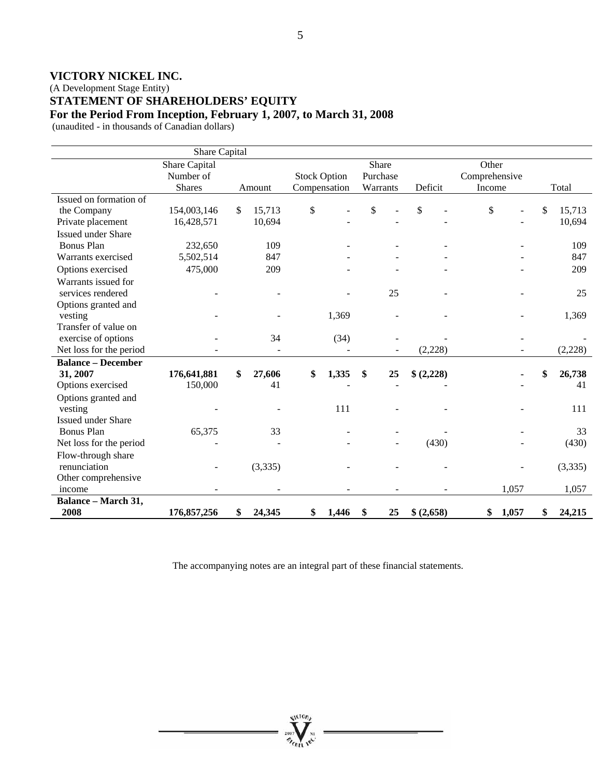(A Development Stage Entity)

**STATEMENT OF SHAREHOLDERS' EQUITY** 

**For the Period From Inception, February 1, 2007, to March 31, 2008** 

(unaudited - in thousands of Canadian dollars)

|                                    | Share Capital                               |     |          |                                     |                               |            |                                  |       |              |
|------------------------------------|---------------------------------------------|-----|----------|-------------------------------------|-------------------------------|------------|----------------------------------|-------|--------------|
|                                    | Share Capital<br>Number of<br><b>Shares</b> |     | Amount   | <b>Stock Option</b><br>Compensation | Share<br>Purchase<br>Warrants | Deficit    | Other<br>Comprehensive<br>Income |       | Total        |
| Issued on formation of             |                                             |     |          |                                     |                               |            |                                  |       |              |
| the Company                        | 154,003,146                                 | \$. | 15,713   | \$                                  | \$                            | \$         | \$                               |       | \$<br>15,713 |
| Private placement                  | 16,428,571                                  |     | 10,694   |                                     |                               |            |                                  |       | 10,694       |
| <b>Issued under Share</b>          |                                             |     |          |                                     |                               |            |                                  |       |              |
| <b>Bonus Plan</b>                  | 232,650                                     |     | 109      |                                     |                               |            |                                  |       | 109          |
| Warrants exercised                 | 5,502,514                                   |     | 847      |                                     |                               |            |                                  |       | 847          |
| Options exercised                  | 475,000                                     |     | 209      |                                     |                               |            |                                  |       | 209          |
| Warrants issued for                |                                             |     |          |                                     |                               |            |                                  |       |              |
| services rendered                  |                                             |     |          |                                     | 25                            |            |                                  |       | 25           |
| Options granted and                |                                             |     |          |                                     |                               |            |                                  |       |              |
| vesting                            |                                             |     |          | 1,369                               |                               |            |                                  |       | 1,369        |
| Transfer of value on               |                                             |     |          |                                     |                               |            |                                  |       |              |
| exercise of options                |                                             |     | 34       | (34)                                |                               |            |                                  |       |              |
| Net loss for the period            |                                             |     |          |                                     |                               | (2,228)    |                                  |       | (2,228)      |
| <b>Balance - December</b>          |                                             |     |          |                                     |                               |            |                                  |       |              |
| 31, 2007                           | 176,641,881                                 | \$  | 27,606   | \$<br>1,335                         | \$<br>25                      | \$(2,228)  |                                  |       | \$<br>26,738 |
| Options exercised                  | 150,000                                     |     | 41       |                                     |                               |            |                                  |       | 41           |
| Options granted and                |                                             |     |          |                                     |                               |            |                                  |       |              |
| vesting                            |                                             |     |          | 111                                 |                               |            |                                  |       | 111          |
| <b>Issued under Share</b>          |                                             |     |          |                                     |                               |            |                                  |       |              |
| <b>Bonus Plan</b>                  | 65,375                                      |     | 33       |                                     |                               |            |                                  |       | 33           |
| Net loss for the period            |                                             |     |          |                                     |                               | (430)      |                                  |       | (430)        |
| Flow-through share                 |                                             |     |          |                                     |                               |            |                                  |       |              |
| renunciation                       |                                             |     | (3, 335) |                                     |                               |            |                                  |       | (3, 335)     |
| Other comprehensive                |                                             |     |          |                                     |                               |            |                                  |       |              |
| income                             |                                             |     |          |                                     |                               |            |                                  | 1,057 | 1,057        |
| <b>Balance - March 31,</b><br>2008 | 176,857,256                                 | \$  | 24,345   | \$<br>1,446                         | \$<br>25                      | \$ (2,658) | \$                               | 1,057 | \$<br>24,215 |

The accompanying notes are an integral part of these financial statements.

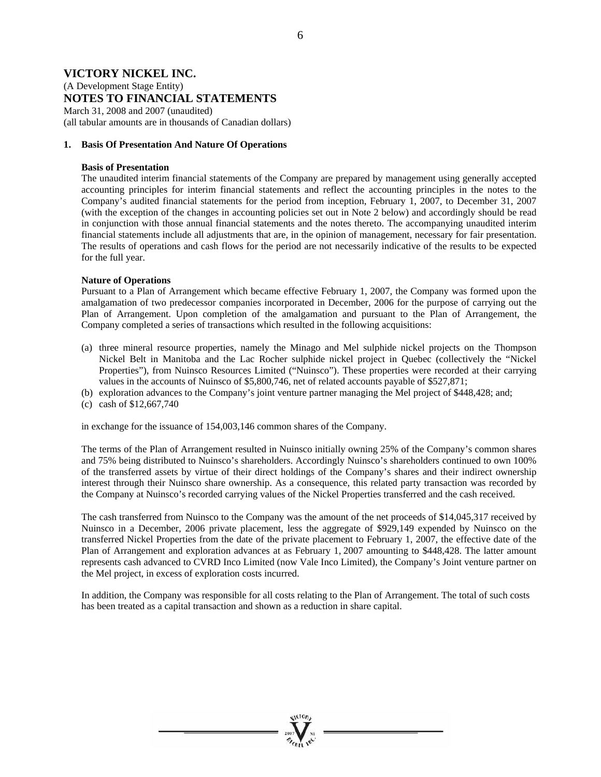(A Development Stage Entity) **NOTES TO FINANCIAL STATEMENTS** 

March 31, 2008 and 2007 (unaudited) (all tabular amounts are in thousands of Canadian dollars)

#### **1. Basis Of Presentation And Nature Of Operations**

#### **Basis of Presentation**

The unaudited interim financial statements of the Company are prepared by management using generally accepted accounting principles for interim financial statements and reflect the accounting principles in the notes to the Company's audited financial statements for the period from inception, February 1, 2007, to December 31, 2007 (with the exception of the changes in accounting policies set out in Note 2 below) and accordingly should be read in conjunction with those annual financial statements and the notes thereto. The accompanying unaudited interim financial statements include all adjustments that are, in the opinion of management, necessary for fair presentation. The results of operations and cash flows for the period are not necessarily indicative of the results to be expected for the full year.

#### **Nature of Operations**

Pursuant to a Plan of Arrangement which became effective February 1, 2007, the Company was formed upon the amalgamation of two predecessor companies incorporated in December, 2006 for the purpose of carrying out the Plan of Arrangement. Upon completion of the amalgamation and pursuant to the Plan of Arrangement, the Company completed a series of transactions which resulted in the following acquisitions:

- (a) three mineral resource properties, namely the Minago and Mel sulphide nickel projects on the Thompson Nickel Belt in Manitoba and the Lac Rocher sulphide nickel project in Quebec (collectively the "Nickel Properties"), from Nuinsco Resources Limited ("Nuinsco"). These properties were recorded at their carrying values in the accounts of Nuinsco of \$5,800,746, net of related accounts payable of \$527,871;
- (b) exploration advances to the Company's joint venture partner managing the Mel project of \$448,428; and;
- (c) cash of \$12,667,740

in exchange for the issuance of 154,003,146 common shares of the Company.

The terms of the Plan of Arrangement resulted in Nuinsco initially owning 25% of the Company's common shares and 75% being distributed to Nuinsco's shareholders. Accordingly Nuinsco's shareholders continued to own 100% of the transferred assets by virtue of their direct holdings of the Company's shares and their indirect ownership interest through their Nuinsco share ownership. As a consequence, this related party transaction was recorded by the Company at Nuinsco's recorded carrying values of the Nickel Properties transferred and the cash received.

The cash transferred from Nuinsco to the Company was the amount of the net proceeds of \$14,045,317 received by Nuinsco in a December, 2006 private placement, less the aggregate of \$929,149 expended by Nuinsco on the transferred Nickel Properties from the date of the private placement to February 1, 2007, the effective date of the Plan of Arrangement and exploration advances at as February 1, 2007 amounting to \$448,428. The latter amount represents cash advanced to CVRD Inco Limited (now Vale Inco Limited), the Company's Joint venture partner on the Mel project, in excess of exploration costs incurred.

In addition, the Company was responsible for all costs relating to the Plan of Arrangement. The total of such costs has been treated as a capital transaction and shown as a reduction in share capital.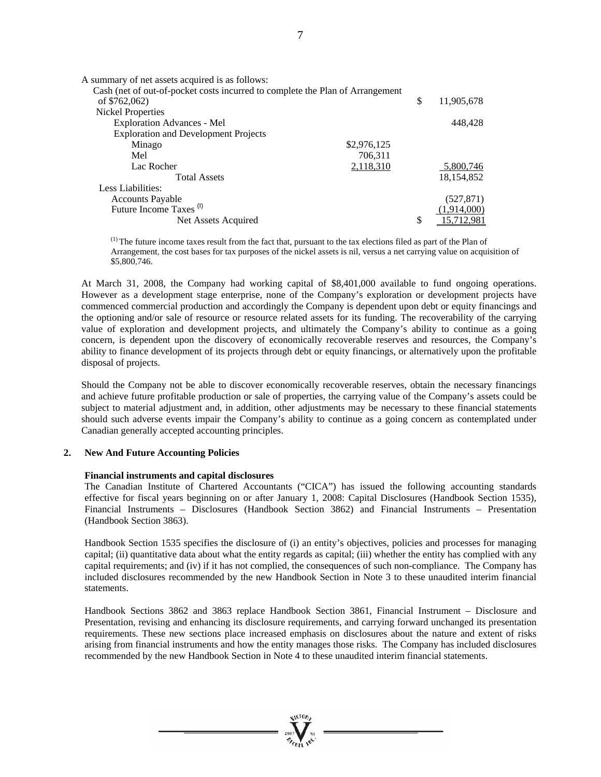| A summary of net assets acquired is as follows:                               |             |                  |
|-------------------------------------------------------------------------------|-------------|------------------|
| Cash (net of out-of-pocket costs incurred to complete the Plan of Arrangement |             |                  |
| of \$762,062)                                                                 |             | \$<br>11,905,678 |
| Nickel Properties                                                             |             |                  |
| Exploration Advances - Mel                                                    |             | 448,428          |
| <b>Exploration and Development Projects</b>                                   |             |                  |
| Minago                                                                        | \$2,976,125 |                  |
| Mel                                                                           | 706,311     |                  |
| Lac Rocher                                                                    | 2,118,310   | 5,800,746        |
| <b>Total Assets</b>                                                           |             | 18,154,852       |
| Less Liabilities:                                                             |             |                  |
| <b>Accounts Payable</b>                                                       |             | (527, 871)       |
| Future Income Taxes <sup>(1)</sup>                                            |             | (1,914,000)      |
| Net Assets Acquired                                                           |             | \$<br>15.712.981 |
|                                                                               |             |                  |

 $<sup>(1)</sup>$  The future income taxes result from the fact that, pursuant to the tax elections filed as part of the Plan of</sup> Arrangement, the cost bases for tax purposes of the nickel assets is nil, versus a net carrying value on acquisition of \$5,800,746.

At March 31, 2008, the Company had working capital of \$8,401,000 available to fund ongoing operations. However as a development stage enterprise, none of the Company's exploration or development projects have commenced commercial production and accordingly the Company is dependent upon debt or equity financings and the optioning and/or sale of resource or resource related assets for its funding. The recoverability of the carrying value of exploration and development projects, and ultimately the Company's ability to continue as a going concern, is dependent upon the discovery of economically recoverable reserves and resources, the Company's ability to finance development of its projects through debt or equity financings, or alternatively upon the profitable disposal of projects.

Should the Company not be able to discover economically recoverable reserves, obtain the necessary financings and achieve future profitable production or sale of properties, the carrying value of the Company's assets could be subject to material adjustment and, in addition, other adjustments may be necessary to these financial statements should such adverse events impair the Company's ability to continue as a going concern as contemplated under Canadian generally accepted accounting principles.

#### **2. New And Future Accounting Policies**

#### **Financial instruments and capital disclosures**

The Canadian Institute of Chartered Accountants ("CICA") has issued the following accounting standards effective for fiscal years beginning on or after January 1, 2008: Capital Disclosures (Handbook Section 1535), Financial Instruments – Disclosures (Handbook Section 3862) and Financial Instruments – Presentation (Handbook Section 3863).

Handbook Section 1535 specifies the disclosure of (i) an entity's objectives, policies and processes for managing capital; (ii) quantitative data about what the entity regards as capital; (iii) whether the entity has complied with any capital requirements; and (iv) if it has not complied, the consequences of such non-compliance. The Company has included disclosures recommended by the new Handbook Section in Note 3 to these unaudited interim financial statements.

Handbook Sections 3862 and 3863 replace Handbook Section 3861, Financial Instrument – Disclosure and Presentation, revising and enhancing its disclosure requirements, and carrying forward unchanged its presentation requirements. These new sections place increased emphasis on disclosures about the nature and extent of risks arising from financial instruments and how the entity manages those risks. The Company has included disclosures recommended by the new Handbook Section in Note 4 to these unaudited interim financial statements.

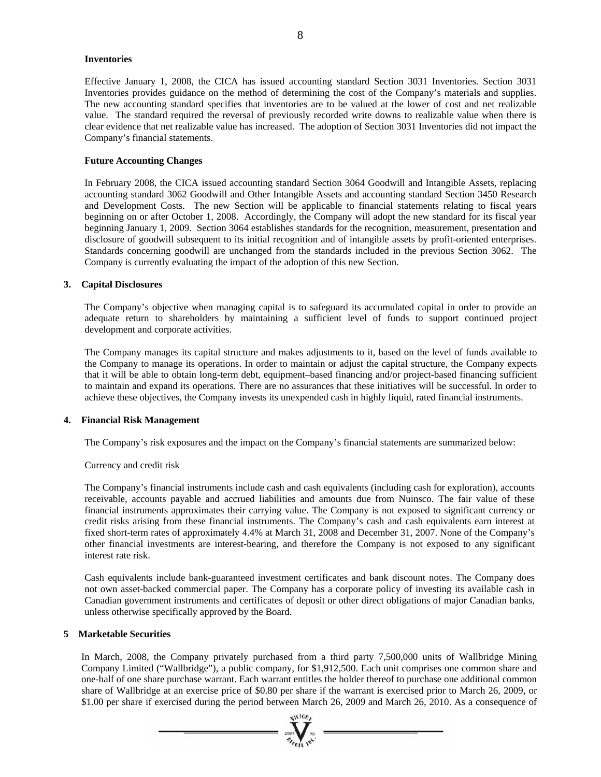#### **Inventories**

Effective January 1, 2008, the CICA has issued accounting standard Section 3031 Inventories. Section 3031 Inventories provides guidance on the method of determining the cost of the Company's materials and supplies. The new accounting standard specifies that inventories are to be valued at the lower of cost and net realizable value. The standard required the reversal of previously recorded write downs to realizable value when there is clear evidence that net realizable value has increased. The adoption of Section 3031 Inventories did not impact the Company's financial statements.

#### **Future Accounting Changes**

In February 2008, the CICA issued accounting standard Section 3064 Goodwill and Intangible Assets, replacing accounting standard 3062 Goodwill and Other Intangible Assets and accounting standard Section 3450 Research and Development Costs. The new Section will be applicable to financial statements relating to fiscal years beginning on or after October 1, 2008. Accordingly, the Company will adopt the new standard for its fiscal year beginning January 1, 2009. Section 3064 establishes standards for the recognition, measurement, presentation and disclosure of goodwill subsequent to its initial recognition and of intangible assets by profit-oriented enterprises. Standards concerning goodwill are unchanged from the standards included in the previous Section 3062. The Company is currently evaluating the impact of the adoption of this new Section.

#### **3. Capital Disclosures**

The Company's objective when managing capital is to safeguard its accumulated capital in order to provide an adequate return to shareholders by maintaining a sufficient level of funds to support continued project development and corporate activities.

The Company manages its capital structure and makes adjustments to it, based on the level of funds available to the Company to manage its operations. In order to maintain or adjust the capital structure, the Company expects that it will be able to obtain long-term debt, equipment–based financing and/or project-based financing sufficient to maintain and expand its operations. There are no assurances that these initiatives will be successful. In order to achieve these objectives, the Company invests its unexpended cash in highly liquid, rated financial instruments.

#### **4. Financial Risk Management**

The Company's risk exposures and the impact on the Company's financial statements are summarized below:

Currency and credit risk

The Company's financial instruments include cash and cash equivalents (including cash for exploration), accounts receivable, accounts payable and accrued liabilities and amounts due from Nuinsco. The fair value of these financial instruments approximates their carrying value. The Company is not exposed to significant currency or credit risks arising from these financial instruments. The Company's cash and cash equivalents earn interest at fixed short-term rates of approximately 4.4% at March 31, 2008 and December 31, 2007. None of the Company's other financial investments are interest-bearing, and therefore the Company is not exposed to any significant interest rate risk.

Cash equivalents include bank-guaranteed investment certificates and bank discount notes. The Company does not own asset-backed commercial paper. The Company has a corporate policy of investing its available cash in Canadian government instruments and certificates of deposit or other direct obligations of major Canadian banks, unless otherwise specifically approved by the Board.

#### **5 Marketable Securities**

In March, 2008, the Company privately purchased from a third party 7,500,000 units of Wallbridge Mining Company Limited ("Wallbridge"), a public company, for \$1,912,500. Each unit comprises one common share and one-half of one share purchase warrant. Each warrant entitles the holder thereof to purchase one additional common share of Wallbridge at an exercise price of \$0.80 per share if the warrant is exercised prior to March 26, 2009, or \$1.00 per share if exercised during the period between March 26, 2009 and March 26, 2010. As a consequence of

 $\frac{1007}{\sigma_{f(x,y)}}$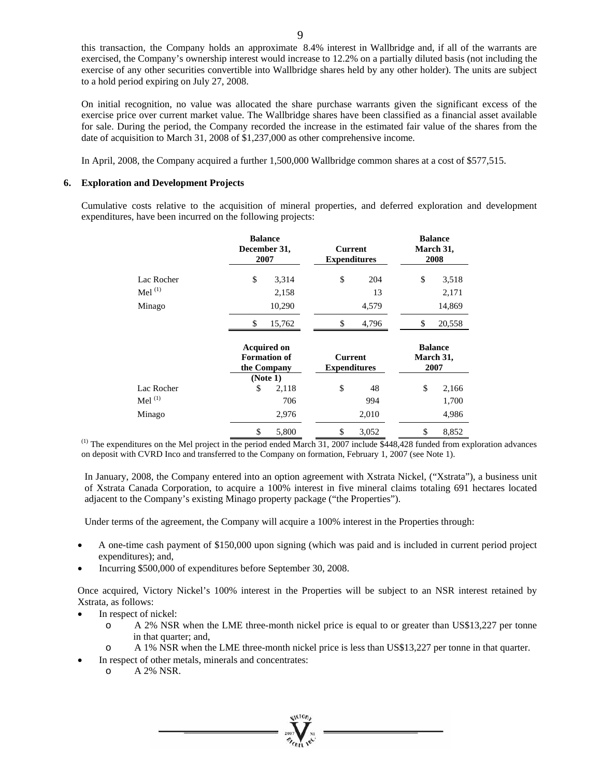this transaction, the Company holds an approximate 8.4% interest in Wallbridge and, if all of the warrants are exercised, the Company's ownership interest would increase to 12.2% on a partially diluted basis (not including the exercise of any other securities convertible into Wallbridge shares held by any other holder). The units are subject to a hold period expiring on July 27, 2008.

On initial recognition, no value was allocated the share purchase warrants given the significant excess of the exercise price over current market value. The Wallbridge shares have been classified as a financial asset available for sale. During the period, the Company recorded the increase in the estimated fair value of the shares from the date of acquisition to March 31, 2008 of \$1,237,000 as other comprehensive income.

In April, 2008, the Company acquired a further 1,500,000 Wallbridge common shares at a cost of \$577,515.

#### **6. Exploration and Development Projects**

Cumulative costs relative to the acquisition of mineral properties, and deferred exploration and development expenditures, have been incurred on the following projects:

|              | <b>Balance</b><br>December 31,<br>2007                                                            | <b>Current</b><br><b>Expenditures</b> | <b>Balance</b><br>March 31,<br>2008 |
|--------------|---------------------------------------------------------------------------------------------------|---------------------------------------|-------------------------------------|
| Lac Rocher   | \$<br>3,314                                                                                       | \$<br>204                             | \$<br>3,518                         |
| Mel $^{(1)}$ | 2,158                                                                                             | 13                                    | 2,171                               |
| Minago       | 10,290                                                                                            | 4,579                                 | 14,869                              |
|              | \$<br>15,762                                                                                      | \$<br>4,796                           | \$<br>20,558                        |
|              | <b>Acquired on</b><br><b>Formation of</b><br><b>Current</b><br><b>Expenditures</b><br>the Company |                                       | <b>Balance</b>                      |
|              |                                                                                                   |                                       | March 31,<br>2007                   |
|              | (Note 1)                                                                                          |                                       |                                     |
| Lac Rocher   | \$<br>2,118                                                                                       | \$<br>48                              | \$<br>2,166                         |
| Mel $^{(1)}$ | 706                                                                                               | 994                                   | 1,700                               |
| Minago       | 2,976                                                                                             | 2,010                                 | 4,986                               |

 $<sup>(1)</sup>$  The expenditures on the Mel project in the period ended March 31, 2007 include \$448,428 funded from exploration advances</sup> on deposit with CVRD Inco and transferred to the Company on formation, February 1, 2007 (see Note 1).

In January, 2008, the Company entered into an option agreement with Xstrata Nickel, ("Xstrata"), a business unit of Xstrata Canada Corporation, to acquire a 100% interest in five mineral claims totaling 691 hectares located adjacent to the Company's existing Minago property package ("the Properties").

Under terms of the agreement, the Company will acquire a 100% interest in the Properties through:

- A one-time cash payment of \$150,000 upon signing (which was paid and is included in current period project expenditures); and,
- Incurring \$500,000 of expenditures before September 30, 2008.

Once acquired, Victory Nickel's 100% interest in the Properties will be subject to an NSR interest retained by Xstrata, as follows:

- In respect of nickel:
	- o A 2% NSR when the LME three-month nickel price is equal to or greater than US\$13,227 per tonne in that quarter; and,
	- o A 1% NSR when the LME three-month nickel price is less than US\$13,227 per tonne in that quarter.
	- In respect of other metals, minerals and concentrates:
	- o A 2% NSR.

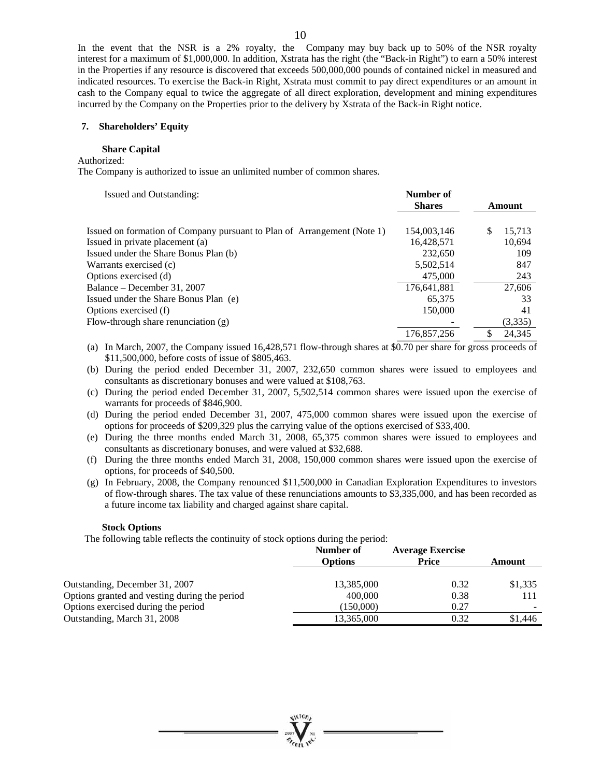In the event that the NSR is a 2% royalty, the Company may buy back up to 50% of the NSR royalty interest for a maximum of \$1,000,000. In addition, Xstrata has the right (the "Back-in Right") to earn a 50% interest in the Properties if any resource is discovered that exceeds 500,000,000 pounds of contained nickel in measured and indicated resources. To exercise the Back-in Right, Xstrata must commit to pay direct expenditures or an amount in cash to the Company equal to twice the aggregate of all direct exploration, development and mining expenditures incurred by the Company on the Properties prior to the delivery by Xstrata of the Back-in Right notice.

#### **7. Shareholders' Equity**

#### **Share Capital**

Authorized:

The Company is authorized to issue an unlimited number of common shares.

Issued and Outstanding: **Number of** 

|                                                                         | <b>Shares</b> |   | Amount  |
|-------------------------------------------------------------------------|---------------|---|---------|
| Issued on formation of Company pursuant to Plan of Arrangement (Note 1) | 154,003,146   | S | 15,713  |
| Issued in private placement (a)                                         | 16,428,571    |   | 10,694  |
| Issued under the Share Bonus Plan (b)                                   | 232,650       |   | 109     |
| Warrants exercised (c)                                                  | 5,502,514     |   | 847     |
| Options exercised (d)                                                   | 475,000       |   | 243     |
| Balance – December 31, 2007                                             | 176,641,881   |   | 27,606  |
| Issued under the Share Bonus Plan (e)                                   | 65,375        |   | 33      |
| Options exercised (f)                                                   | 150,000       |   | 41      |
| Flow-through share renunciation $(g)$                                   |               |   | (3,335) |
|                                                                         | 176,857,256   |   | 24,345  |

(a) In March, 2007, the Company issued 16,428,571 flow-through shares at \$0.70 per share for gross proceeds of \$11,500,000, before costs of issue of \$805,463.

(b) During the period ended December 31, 2007, 232,650 common shares were issued to employees and consultants as discretionary bonuses and were valued at \$108,763.

(c) During the period ended December 31, 2007, 5,502,514 common shares were issued upon the exercise of warrants for proceeds of \$846,900.

(d) During the period ended December 31, 2007, 475,000 common shares were issued upon the exercise of options for proceeds of \$209,329 plus the carrying value of the options exercised of \$33,400.

(e) During the three months ended March 31, 2008, 65,375 common shares were issued to employees and consultants as discretionary bonuses, and were valued at \$32,688.

(f) During the three months ended March 31, 2008, 150,000 common shares were issued upon the exercise of options, for proceeds of \$40,500.

(g) In February, 2008, the Company renounced \$11,500,000 in Canadian Exploration Expenditures to investors of flow-through shares. The tax value of these renunciations amounts to \$3,335,000, and has been recorded as a future income tax liability and charged against share capital.

#### **Stock Options**

The following table reflects the continuity of stock options during the period:

|                                               | Number of<br><b>Options</b> | <b>Average Exercise</b><br><b>Price</b> | Amount  |
|-----------------------------------------------|-----------------------------|-----------------------------------------|---------|
| Outstanding, December 31, 2007                | 13,385,000                  | 0.32                                    | \$1,335 |
| Options granted and vesting during the period | 400,000                     | 0.38                                    | 111     |
| Options exercised during the period           | (150,000)                   | 0.27                                    |         |
| Outstanding, March 31, 2008                   | 13,365,000                  | 0.32                                    | \$1,446 |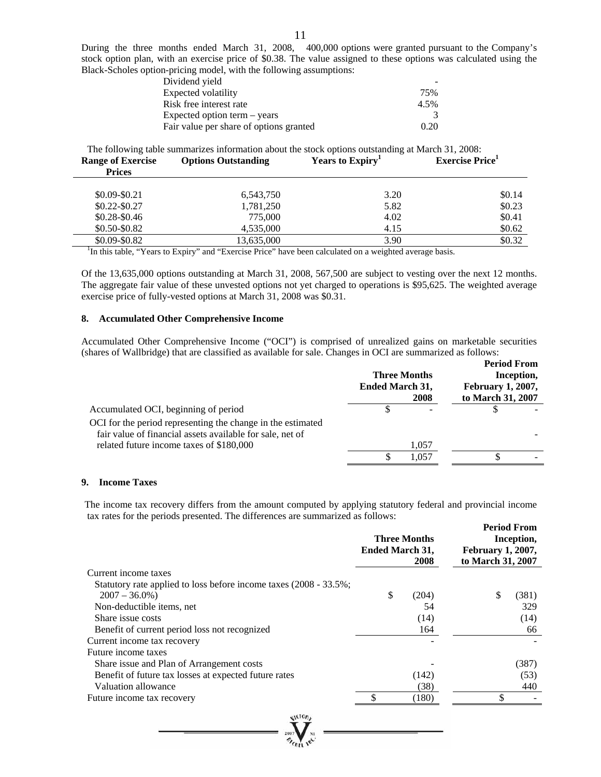During the three months ended March 31, 2008, 400,000 options were granted pursuant to the Company's stock option plan, with an exercise price of \$0.38. The value assigned to these options was calculated using the Black-Scholes option-pricing model, with the following assumptions:

| Dividend yield                          |      |
|-----------------------------------------|------|
| Expected volatility                     | 75%  |
| Risk free interest rate                 | 4.5% |
| Expected option term $-$ years          |      |
| Fair value per share of options granted | 0.20 |

The following table summarizes information about the stock options outstanding at March 31, 2008:

| <b>Range of Exercise</b><br><b>Prices</b> | <b>Options Outstanding</b>                                                                              | Years to Expiry <sup>1</sup> | <b>Exercise Price</b> |
|-------------------------------------------|---------------------------------------------------------------------------------------------------------|------------------------------|-----------------------|
|                                           |                                                                                                         |                              |                       |
| $$0.09-S0.21$                             | 6,543,750                                                                                               | 3.20                         | \$0.14                |
| $$0.22 - $0.27$                           | 1,781,250                                                                                               | 5.82                         | \$0.23                |
| $$0.28 - $0.46$                           | 775,000                                                                                                 | 4.02                         | \$0.41                |
| $$0.50 - $0.82$                           | 4.535,000                                                                                               | 4.15                         | \$0.62                |
| $$0.09 - $0.82$                           | 13.635.000                                                                                              | 3.90                         | \$0.32                |
|                                           | In this table, "Years to Expiry" and "Exercise Price" have been calculated on a weighted average basis. |                              |                       |

Of the 13,635,000 options outstanding at March 31, 2008, 567,500 are subject to vesting over the next 12 months. The aggregate fair value of these unvested options not yet charged to operations is \$95,625. The weighted average exercise price of fully-vested options at March 31, 2008 was \$0.31.

#### **8. Accumulated Other Comprehensive Income**

Accumulated Other Comprehensive Income ("OCI") is comprised of unrealized gains on marketable securities (shares of Wallbridge) that are classified as available for sale. Changes in OCI are summarized as follows:

|                                                                                                       | <b>Ended March 31,</b> | <b>Three Months</b><br>2008 | <b>Period From</b><br>Inception,<br><b>February 1, 2007,</b><br>to March 31, 2007 |  |
|-------------------------------------------------------------------------------------------------------|------------------------|-----------------------------|-----------------------------------------------------------------------------------|--|
| Accumulated OCI, beginning of period                                                                  |                        |                             |                                                                                   |  |
| OCI for the period representing the change in the estimated                                           |                        |                             |                                                                                   |  |
| fair value of financial assets available for sale, net of<br>related future income taxes of \$180,000 |                        | 1,057                       |                                                                                   |  |
|                                                                                                       |                        | 1.057                       |                                                                                   |  |

#### **9. Income Taxes**

The income tax recovery differs from the amount computed by applying statutory federal and provincial income tax rates for the periods presented. The differences are summarized as follows:

|                                                                   | <b>Three Months</b><br><b>Ended March 31,</b><br>2008 |       | <b>Period From</b><br>Inception,<br><b>February 1, 2007,</b><br>to March 31, 2007 |       |
|-------------------------------------------------------------------|-------------------------------------------------------|-------|-----------------------------------------------------------------------------------|-------|
| Current income taxes                                              |                                                       |       |                                                                                   |       |
| Statutory rate applied to loss before income taxes (2008 - 33.5%; |                                                       |       |                                                                                   |       |
| $2007 - 36.0\%)$                                                  | \$                                                    | (204) | \$                                                                                | (381) |
| Non-deductible items, net                                         |                                                       | 54    |                                                                                   | 329   |
| Share issue costs                                                 |                                                       | (14)  |                                                                                   | (14)  |
| Benefit of current period loss not recognized                     |                                                       | 164   |                                                                                   | 66    |
| Current income tax recovery                                       |                                                       |       |                                                                                   |       |
| Future income taxes                                               |                                                       |       |                                                                                   |       |
| Share issue and Plan of Arrangement costs                         |                                                       |       |                                                                                   | (387) |
| Benefit of future tax losses at expected future rates             |                                                       | (142) |                                                                                   | (53)  |
| Valuation allowance                                               |                                                       | (38)  |                                                                                   | 440   |
| Future income tax recovery                                        |                                                       | (180) | \$                                                                                |       |
| ATID <sub>F</sub>                                                 |                                                       |       |                                                                                   |       |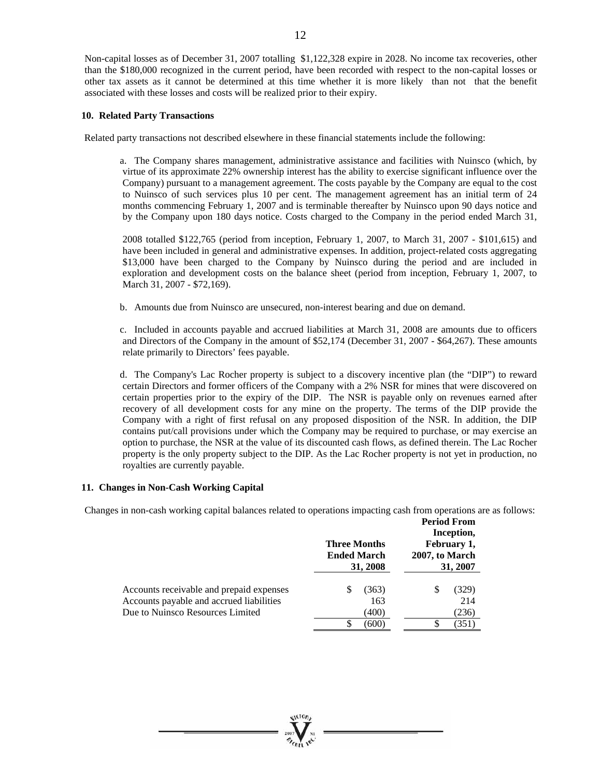Non-capital losses as of December 31, 2007 totalling \$1,122,328 expire in 2028. No income tax recoveries, other than the \$180,000 recognized in the current period, have been recorded with respect to the non-capital losses or other tax assets as it cannot be determined at this time whether it is more likely than not that the benefit associated with these losses and costs will be realized prior to their expiry.

#### **10. Related Party Transactions**

Related party transactions not described elsewhere in these financial statements include the following:

a. The Company shares management, administrative assistance and facilities with Nuinsco (which, by virtue of its approximate 22% ownership interest has the ability to exercise significant influence over the Company) pursuant to a management agreement. The costs payable by the Company are equal to the cost to Nuinsco of such services plus 10 per cent. The management agreement has an initial term of 24 months commencing February 1, 2007 and is terminable thereafter by Nuinsco upon 90 days notice and by the Company upon 180 days notice. Costs charged to the Company in the period ended March 31,

2008 totalled \$122,765 (period from inception, February 1, 2007, to March 31, 2007 - \$101,615) and have been included in general and administrative expenses. In addition, project-related costs aggregating \$13,000 have been charged to the Company by Nuinsco during the period and are included in exploration and development costs on the balance sheet (period from inception, February 1, 2007, to March 31, 2007 - \$72,169).

b. Amounts due from Nuinsco are unsecured, non-interest bearing and due on demand.

c. Included in accounts payable and accrued liabilities at March 31, 2008 are amounts due to officers and Directors of the Company in the amount of \$52,174 (December 31, 2007 - \$64,267). These amounts relate primarily to Directors' fees payable.

d. The Company's Lac Rocher property is subject to a discovery incentive plan (the "DIP") to reward certain Directors and former officers of the Company with a 2% NSR for mines that were discovered on certain properties prior to the expiry of the DIP. The NSR is payable only on revenues earned after recovery of all development costs for any mine on the property. The terms of the DIP provide the Company with a right of first refusal on any proposed disposition of the NSR. In addition, the DIP contains put/call provisions under which the Company may be required to purchase, or may exercise an option to purchase, the NSR at the value of its discounted cash flows, as defined therein. The Lac Rocher property is the only property subject to the DIP. As the Lac Rocher property is not yet in production, no royalties are currently payable.

#### **11. Changes in Non-Cash Working Capital**

Changes in non-cash working capital balances related to operations impacting cash from operations are as follows: **Period From** 

|                                                                                                                          | <b>Three Months</b><br><b>Ended March</b><br>31, 2008 | Inception,<br>February 1,<br>2007, to March<br>31, 2007 |  |
|--------------------------------------------------------------------------------------------------------------------------|-------------------------------------------------------|---------------------------------------------------------|--|
| Accounts receivable and prepaid expenses<br>Accounts payable and accrued liabilities<br>Due to Nuinsco Resources Limited | (363)<br>163<br>(400)                                 | (329)<br>214<br>236)                                    |  |
|                                                                                                                          | (600)                                                 | (351                                                    |  |

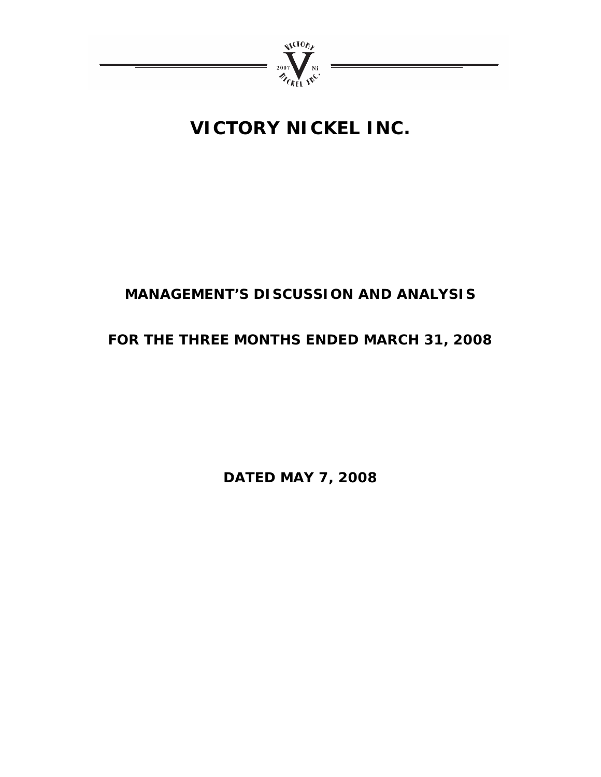

# **MANAGEMENT'S DISCUSSION AND ANALYSIS**

# **FOR THE THREE MONTHS ENDED MARCH 31, 2008**

**DATED MAY 7, 2008**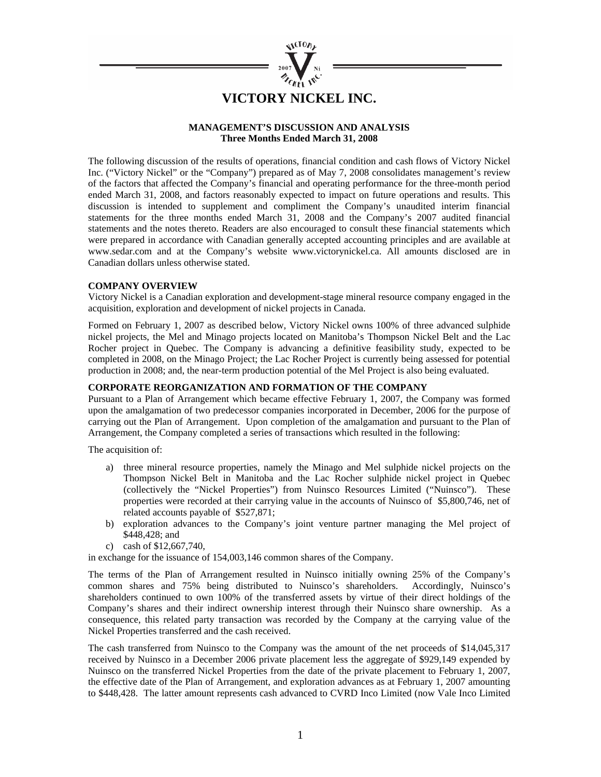

#### **MANAGEMENT'S DISCUSSION AND ANALYSIS Three Months Ended March 31, 2008**

The following discussion of the results of operations, financial condition and cash flows of Victory Nickel Inc. ("Victory Nickel" or the "Company") prepared as of May 7, 2008 consolidates management's review of the factors that affected the Company's financial and operating performance for the three-month period ended March 31, 2008, and factors reasonably expected to impact on future operations and results. This discussion is intended to supplement and compliment the Company's unaudited interim financial statements for the three months ended March 31, 2008 and the Company's 2007 audited financial statements and the notes thereto. Readers are also encouraged to consult these financial statements which were prepared in accordance with Canadian generally accepted accounting principles and are available at www.sedar.com and at the Company's website www.victorynickel.ca. All amounts disclosed are in Canadian dollars unless otherwise stated.

#### **COMPANY OVERVIEW**

Victory Nickel is a Canadian exploration and development-stage mineral resource company engaged in the acquisition, exploration and development of nickel projects in Canada.

Formed on February 1, 2007 as described below, Victory Nickel owns 100% of three advanced sulphide nickel projects, the Mel and Minago projects located on Manitoba's Thompson Nickel Belt and the Lac Rocher project in Quebec. The Company is advancing a definitive feasibility study, expected to be completed in 2008, on the Minago Project; the Lac Rocher Project is currently being assessed for potential production in 2008; and, the near-term production potential of the Mel Project is also being evaluated.

#### **CORPORATE REORGANIZATION AND FORMATION OF THE COMPANY**

Pursuant to a Plan of Arrangement which became effective February 1, 2007, the Company was formed upon the amalgamation of two predecessor companies incorporated in December, 2006 for the purpose of carrying out the Plan of Arrangement. Upon completion of the amalgamation and pursuant to the Plan of Arrangement, the Company completed a series of transactions which resulted in the following:

The acquisition of:

- a) three mineral resource properties, namely the Minago and Mel sulphide nickel projects on the Thompson Nickel Belt in Manitoba and the Lac Rocher sulphide nickel project in Quebec (collectively the "Nickel Properties") from Nuinsco Resources Limited ("Nuinsco"). These properties were recorded at their carrying value in the accounts of Nuinsco of \$5,800,746, net of related accounts payable of \$527,871;
- b) exploration advances to the Company's joint venture partner managing the Mel project of \$448,428; and
- c) cash of \$12,667,740,

in exchange for the issuance of 154,003,146 common shares of the Company.

The terms of the Plan of Arrangement resulted in Nuinsco initially owning 25% of the Company's common shares and 75% being distributed to Nuinsco's shareholders. Accordingly, Nuinsco's shareholders continued to own 100% of the transferred assets by virtue of their direct holdings of the Company's shares and their indirect ownership interest through their Nuinsco share ownership. As a consequence, this related party transaction was recorded by the Company at the carrying value of the Nickel Properties transferred and the cash received.

The cash transferred from Nuinsco to the Company was the amount of the net proceeds of \$14,045,317 received by Nuinsco in a December 2006 private placement less the aggregate of \$929,149 expended by Nuinsco on the transferred Nickel Properties from the date of the private placement to February 1, 2007, the effective date of the Plan of Arrangement, and exploration advances as at February 1, 2007 amounting to \$448,428. The latter amount represents cash advanced to CVRD Inco Limited (now Vale Inco Limited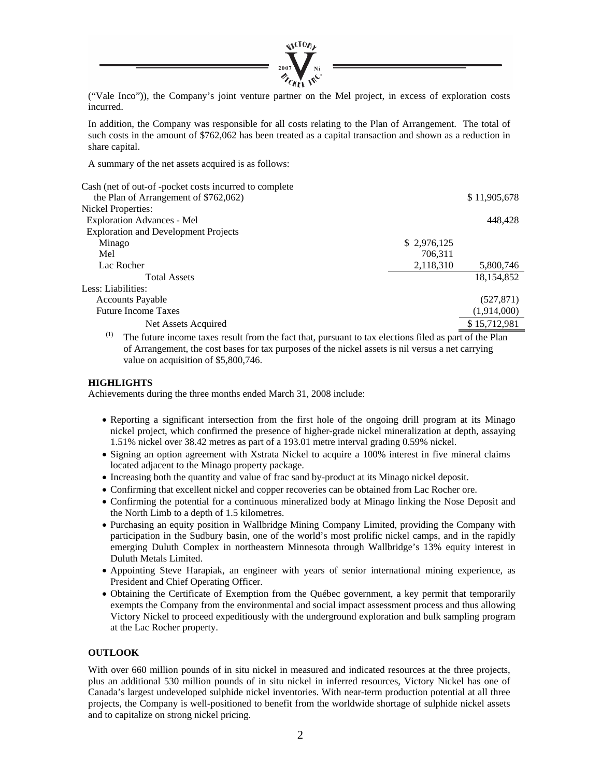

("Vale Inco")), the Company's joint venture partner on the Mel project, in excess of exploration costs incurred.

In addition, the Company was responsible for all costs relating to the Plan of Arrangement. The total of such costs in the amount of \$762,062 has been treated as a capital transaction and shown as a reduction in share capital.

A summary of the net assets acquired is as follows:

| Cash (net of out-of-pocket costs incurred to complete)                                                       |             |              |
|--------------------------------------------------------------------------------------------------------------|-------------|--------------|
| the Plan of Arrangement of $$762,062)$                                                                       |             | \$11,905,678 |
| <b>Nickel Properties:</b>                                                                                    |             |              |
| <b>Exploration Advances - Mel</b>                                                                            |             | 448.428      |
| <b>Exploration and Development Projects</b>                                                                  |             |              |
| Minago                                                                                                       | \$2,976,125 |              |
| Mel                                                                                                          | 706.311     |              |
| Lac Rocher                                                                                                   | 2,118,310   | 5,800,746    |
| <b>Total Assets</b>                                                                                          |             | 18, 154, 852 |
| Less: Liabilities:                                                                                           |             |              |
| <b>Accounts Payable</b>                                                                                      |             | (527, 871)   |
| <b>Future Income Taxes</b>                                                                                   |             | (1,914,000)  |
| Net Assets Acquired                                                                                          |             | \$15,712,981 |
| (1)<br>The future income taxes result from the fact that pursuant to tax elections filed as part of the Plan |             |              |

The future income taxes result from the fact that, pursuant to tax elections filed as part of the Plan of Arrangement, the cost bases for tax purposes of the nickel assets is nil versus a net carrying value on acquisition of \$5,800,746.

#### **HIGHLIGHTS**

Achievements during the three months ended March 31, 2008 include:

- Reporting a significant intersection from the first hole of the ongoing drill program at its Minago nickel project, which confirmed the presence of higher-grade nickel mineralization at depth, assaying 1.51% nickel over 38.42 metres as part of a 193.01 metre interval grading 0.59% nickel.
- Signing an option agreement with Xstrata Nickel to acquire a 100% interest in five mineral claims located adjacent to the Minago property package.
- Increasing both the quantity and value of frac sand by-product at its Minago nickel deposit.
- Confirming that excellent nickel and copper recoveries can be obtained from Lac Rocher ore.
- Confirming the potential for a continuous mineralized body at Minago linking the Nose Deposit and the North Limb to a depth of 1.5 kilometres.
- Purchasing an equity position in Wallbridge Mining Company Limited, providing the Company with participation in the Sudbury basin, one of the world's most prolific nickel camps, and in the rapidly emerging Duluth Complex in northeastern Minnesota through Wallbridge's 13% equity interest in Duluth Metals Limited.
- Appointing Steve Harapiak, an engineer with years of senior international mining experience, as President and Chief Operating Officer.
- Obtaining the Certificate of Exemption from the Québec government, a key permit that temporarily exempts the Company from the environmental and social impact assessment process and thus allowing Victory Nickel to proceed expeditiously with the underground exploration and bulk sampling program at the Lac Rocher property.

#### **OUTLOOK**

With over 660 million pounds of in situ nickel in measured and indicated resources at the three projects, plus an additional 530 million pounds of in situ nickel in inferred resources, Victory Nickel has one of Canada's largest undeveloped sulphide nickel inventories. With near-term production potential at all three projects, the Company is well-positioned to benefit from the worldwide shortage of sulphide nickel assets and to capitalize on strong nickel pricing.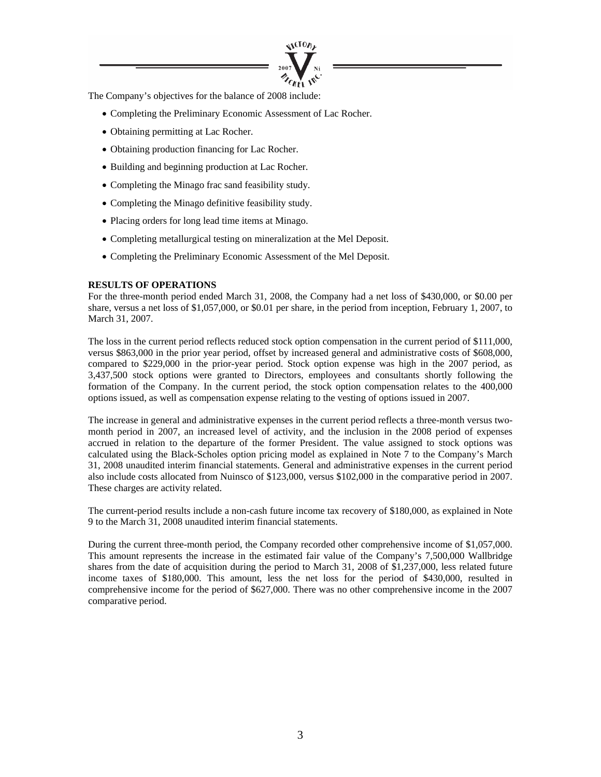

The Company's objectives for the balance of 2008 include:

- Completing the Preliminary Economic Assessment of Lac Rocher.
- Obtaining permitting at Lac Rocher.
- Obtaining production financing for Lac Rocher.
- Building and beginning production at Lac Rocher.
- Completing the Minago frac sand feasibility study.
- Completing the Minago definitive feasibility study.
- Placing orders for long lead time items at Minago.
- Completing metallurgical testing on mineralization at the Mel Deposit.
- Completing the Preliminary Economic Assessment of the Mel Deposit.

#### **RESULTS OF OPERATIONS**

For the three-month period ended March 31, 2008, the Company had a net loss of \$430,000, or \$0.00 per share, versus a net loss of \$1,057,000, or \$0.01 per share, in the period from inception, February 1, 2007, to March 31, 2007.

The loss in the current period reflects reduced stock option compensation in the current period of \$111,000, versus \$863,000 in the prior year period, offset by increased general and administrative costs of \$608,000, compared to \$229,000 in the prior-year period. Stock option expense was high in the 2007 period, as 3,437,500 stock options were granted to Directors, employees and consultants shortly following the formation of the Company. In the current period, the stock option compensation relates to the 400,000 options issued, as well as compensation expense relating to the vesting of options issued in 2007.

The increase in general and administrative expenses in the current period reflects a three-month versus twomonth period in 2007, an increased level of activity, and the inclusion in the 2008 period of expenses accrued in relation to the departure of the former President. The value assigned to stock options was calculated using the Black-Scholes option pricing model as explained in Note 7 to the Company's March 31, 2008 unaudited interim financial statements. General and administrative expenses in the current period also include costs allocated from Nuinsco of \$123,000, versus \$102,000 in the comparative period in 2007. These charges are activity related.

The current-period results include a non-cash future income tax recovery of \$180,000, as explained in Note 9 to the March 31, 2008 unaudited interim financial statements.

During the current three-month period, the Company recorded other comprehensive income of \$1,057,000. This amount represents the increase in the estimated fair value of the Company's 7,500,000 Wallbridge shares from the date of acquisition during the period to March 31, 2008 of \$1,237,000, less related future income taxes of \$180,000. This amount, less the net loss for the period of \$430,000, resulted in comprehensive income for the period of \$627,000. There was no other comprehensive income in the 2007 comparative period.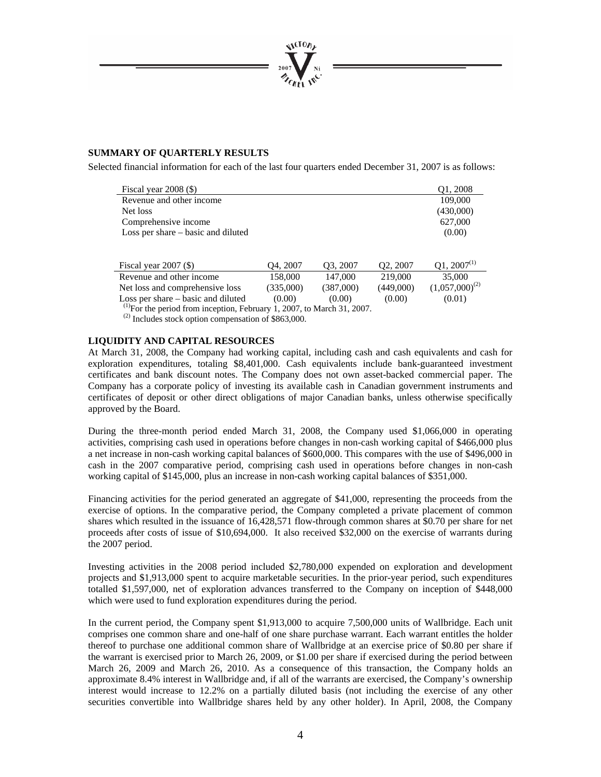

#### **SUMMARY OF QUARTERLY RESULTS**

Selected financial information for each of the last four quarters ended December 31, 2007 is as follows:

| Fiscal year $2008$ (\$)              | O <sub>1</sub> , 2008 |
|--------------------------------------|-----------------------|
| Revenue and other income             | 109,000               |
| Net loss                             | (430,000)             |
| Comprehensive income                 | 627,000               |
| Loss per share $-$ basic and diluted | (0.00)                |

| Fiscal year $2007$ (\$)                                                            | O <sub>4</sub> , 2007 | O <sub>3</sub> , 2007 | O <sub>2</sub> , 2007 | $Q1, 2007^{(1)}$    |
|------------------------------------------------------------------------------------|-----------------------|-----------------------|-----------------------|---------------------|
| Revenue and other income                                                           | 158,000               | 147,000               | 219,000               | 35,000              |
| Net loss and comprehensive loss                                                    | (335,000)             | (387,000)             | (449,000)             | $(1,057,000)^{(2)}$ |
| Loss per share – basic and diluted                                                 | (0.00)                | (0.00)                | (0.00)                | (0.01)              |
| <sup>(1)</sup> For the period from inception, February 1, 2007, to March 31, 2007. |                       |                       |                       |                     |

(2) Includes stock option compensation of \$863,000.

#### **LIQUIDITY AND CAPITAL RESOURCES**

At March 31, 2008, the Company had working capital, including cash and cash equivalents and cash for exploration expenditures, totaling \$8,401,000. Cash equivalents include bank-guaranteed investment certificates and bank discount notes. The Company does not own asset-backed commercial paper. The Company has a corporate policy of investing its available cash in Canadian government instruments and certificates of deposit or other direct obligations of major Canadian banks, unless otherwise specifically approved by the Board.

During the three-month period ended March 31, 2008, the Company used \$1,066,000 in operating activities, comprising cash used in operations before changes in non-cash working capital of \$466,000 plus a net increase in non-cash working capital balances of \$600,000. This compares with the use of \$496,000 in cash in the 2007 comparative period, comprising cash used in operations before changes in non-cash working capital of \$145,000, plus an increase in non-cash working capital balances of \$351,000.

Financing activities for the period generated an aggregate of \$41,000, representing the proceeds from the exercise of options. In the comparative period, the Company completed a private placement of common shares which resulted in the issuance of 16,428,571 flow-through common shares at \$0.70 per share for net proceeds after costs of issue of \$10,694,000. It also received \$32,000 on the exercise of warrants during the 2007 period.

Investing activities in the 2008 period included \$2,780,000 expended on exploration and development projects and \$1,913,000 spent to acquire marketable securities. In the prior-year period, such expenditures totalled \$1,597,000, net of exploration advances transferred to the Company on inception of \$448,000 which were used to fund exploration expenditures during the period.

In the current period, the Company spent \$1,913,000 to acquire 7,500,000 units of Wallbridge. Each unit comprises one common share and one-half of one share purchase warrant. Each warrant entitles the holder thereof to purchase one additional common share of Wallbridge at an exercise price of \$0.80 per share if the warrant is exercised prior to March 26, 2009, or \$1.00 per share if exercised during the period between March 26, 2009 and March 26, 2010. As a consequence of this transaction, the Company holds an approximate 8.4% interest in Wallbridge and, if all of the warrants are exercised, the Company's ownership interest would increase to 12.2% on a partially diluted basis (not including the exercise of any other securities convertible into Wallbridge shares held by any other holder). In April, 2008, the Company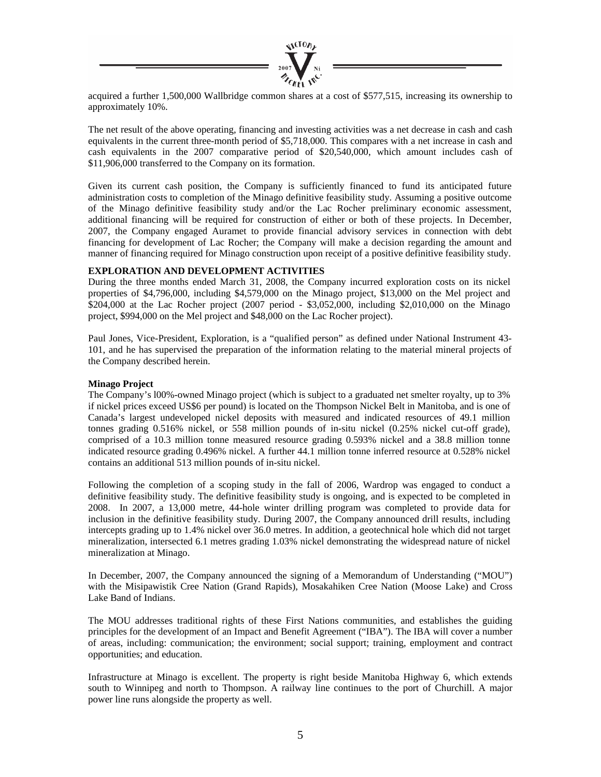

acquired a further 1,500,000 Wallbridge common shares at a cost of \$577,515, increasing its ownership to approximately 10%.

The net result of the above operating, financing and investing activities was a net decrease in cash and cash equivalents in the current three-month period of \$5,718,000. This compares with a net increase in cash and cash equivalents in the 2007 comparative period of \$20,540,000, which amount includes cash of \$11,906,000 transferred to the Company on its formation.

Given its current cash position, the Company is sufficiently financed to fund its anticipated future administration costs to completion of the Minago definitive feasibility study. Assuming a positive outcome of the Minago definitive feasibility study and/or the Lac Rocher preliminary economic assessment, additional financing will be required for construction of either or both of these projects. In December, 2007, the Company engaged Auramet to provide financial advisory services in connection with debt financing for development of Lac Rocher; the Company will make a decision regarding the amount and manner of financing required for Minago construction upon receipt of a positive definitive feasibility study.

#### **EXPLORATION AND DEVELOPMENT ACTIVITIES**

During the three months ended March 31, 2008, the Company incurred exploration costs on its nickel properties of \$4,796,000, including \$4,579,000 on the Minago project, \$13,000 on the Mel project and \$204,000 at the Lac Rocher project (2007 period - \$3,052,000, including \$2,010,000 on the Minago project, \$994,000 on the Mel project and \$48,000 on the Lac Rocher project).

Paul Jones, Vice-President, Exploration, is a "qualified person" as defined under National Instrument 43- 101, and he has supervised the preparation of the information relating to the material mineral projects of the Company described herein.

#### **Minago Project**

The Company's l00%-owned Minago project (which is subject to a graduated net smelter royalty, up to 3% if nickel prices exceed US\$6 per pound) is located on the Thompson Nickel Belt in Manitoba, and is one of Canada's largest undeveloped nickel deposits with measured and indicated resources of 49.1 million tonnes grading 0.516% nickel, or 558 million pounds of in-situ nickel (0.25% nickel cut-off grade), comprised of a 10.3 million tonne measured resource grading 0.593% nickel and a 38.8 million tonne indicated resource grading 0.496% nickel. A further 44.1 million tonne inferred resource at 0.528% nickel contains an additional 513 million pounds of in-situ nickel.

Following the completion of a scoping study in the fall of 2006, Wardrop was engaged to conduct a definitive feasibility study. The definitive feasibility study is ongoing, and is expected to be completed in 2008. In 2007, a 13,000 metre, 44-hole winter drilling program was completed to provide data for inclusion in the definitive feasibility study. During 2007, the Company announced drill results, including intercepts grading up to 1.4% nickel over 36.0 metres. In addition, a geotechnical hole which did not target mineralization, intersected 6.1 metres grading 1.03% nickel demonstrating the widespread nature of nickel mineralization at Minago.

In December, 2007, the Company announced the signing of a Memorandum of Understanding ("MOU") with the Misipawistik Cree Nation (Grand Rapids), Mosakahiken Cree Nation (Moose Lake) and Cross Lake Band of Indians.

The MOU addresses traditional rights of these First Nations communities, and establishes the guiding principles for the development of an Impact and Benefit Agreement ("IBA"). The IBA will cover a number of areas, including: communication; the environment; social support; training, employment and contract opportunities; and education.

Infrastructure at Minago is excellent. The property is right beside Manitoba Highway 6, which extends south to Winnipeg and north to Thompson. A railway line continues to the port of Churchill. A major power line runs alongside the property as well.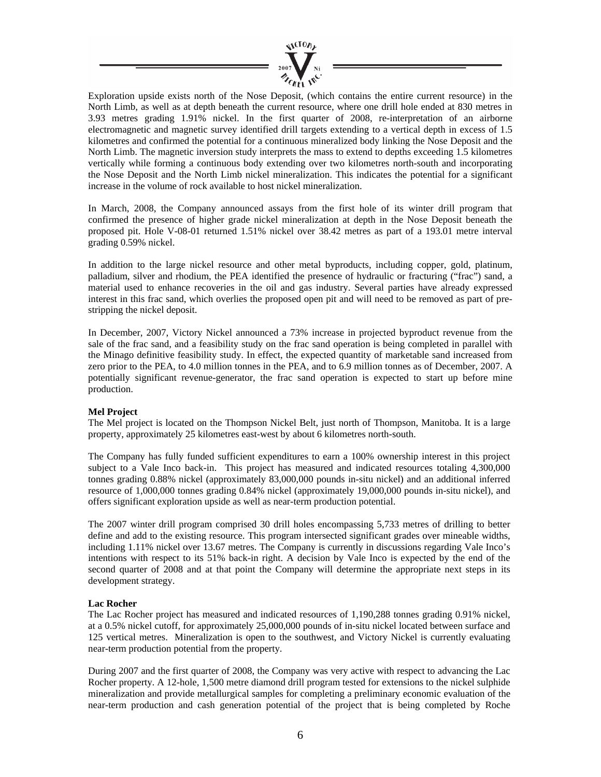

Exploration upside exists north of the Nose Deposit, (which contains the entire current resource) in the North Limb, as well as at depth beneath the current resource, where one drill hole ended at 830 metres in 3.93 metres grading 1.91% nickel. In the first quarter of 2008, re-interpretation of an airborne electromagnetic and magnetic survey identified drill targets extending to a vertical depth in excess of 1.5 kilometres and confirmed the potential for a continuous mineralized body linking the Nose Deposit and the North Limb. The magnetic inversion study interprets the mass to extend to depths exceeding 1.5 kilometres vertically while forming a continuous body extending over two kilometres north-south and incorporating the Nose Deposit and the North Limb nickel mineralization. This indicates the potential for a significant increase in the volume of rock available to host nickel mineralization.

In March, 2008, the Company announced assays from the first hole of its winter drill program that confirmed the presence of higher grade nickel mineralization at depth in the Nose Deposit beneath the proposed pit. Hole V-08-01 returned 1.51% nickel over 38.42 metres as part of a 193.01 metre interval grading 0.59% nickel.

In addition to the large nickel resource and other metal byproducts, including copper, gold, platinum, palladium, silver and rhodium, the PEA identified the presence of hydraulic or fracturing ("frac") sand, a material used to enhance recoveries in the oil and gas industry. Several parties have already expressed interest in this frac sand, which overlies the proposed open pit and will need to be removed as part of prestripping the nickel deposit.

In December, 2007, Victory Nickel announced a 73% increase in projected byproduct revenue from the sale of the frac sand, and a feasibility study on the frac sand operation is being completed in parallel with the Minago definitive feasibility study. In effect, the expected quantity of marketable sand increased from zero prior to the PEA, to 4.0 million tonnes in the PEA, and to 6.9 million tonnes as of December, 2007. A potentially significant revenue-generator, the frac sand operation is expected to start up before mine production.

#### **Mel Project**

The Mel project is located on the Thompson Nickel Belt, just north of Thompson, Manitoba. It is a large property, approximately 25 kilometres east-west by about 6 kilometres north-south.

The Company has fully funded sufficient expenditures to earn a 100% ownership interest in this project subject to a Vale Inco back-in. This project has measured and indicated resources totaling 4,300,000 tonnes grading 0.88% nickel (approximately 83,000,000 pounds in-situ nickel) and an additional inferred resource of 1,000,000 tonnes grading 0.84% nickel (approximately 19,000,000 pounds in-situ nickel), and offers significant exploration upside as well as near-term production potential.

The 2007 winter drill program comprised 30 drill holes encompassing 5,733 metres of drilling to better define and add to the existing resource. This program intersected significant grades over mineable widths, including 1.11% nickel over 13.67 metres. The Company is currently in discussions regarding Vale Inco's intentions with respect to its 51% back-in right. A decision by Vale Inco is expected by the end of the second quarter of 2008 and at that point the Company will determine the appropriate next steps in its development strategy.

#### **Lac Rocher**

The Lac Rocher project has measured and indicated resources of 1,190,288 tonnes grading 0.91% nickel, at a 0.5% nickel cutoff, for approximately 25,000,000 pounds of in-situ nickel located between surface and 125 vertical metres. Mineralization is open to the southwest, and Victory Nickel is currently evaluating near-term production potential from the property.

During 2007 and the first quarter of 2008, the Company was very active with respect to advancing the Lac Rocher property. A 12-hole, 1,500 metre diamond drill program tested for extensions to the nickel sulphide mineralization and provide metallurgical samples for completing a preliminary economic evaluation of the near-term production and cash generation potential of the project that is being completed by Roche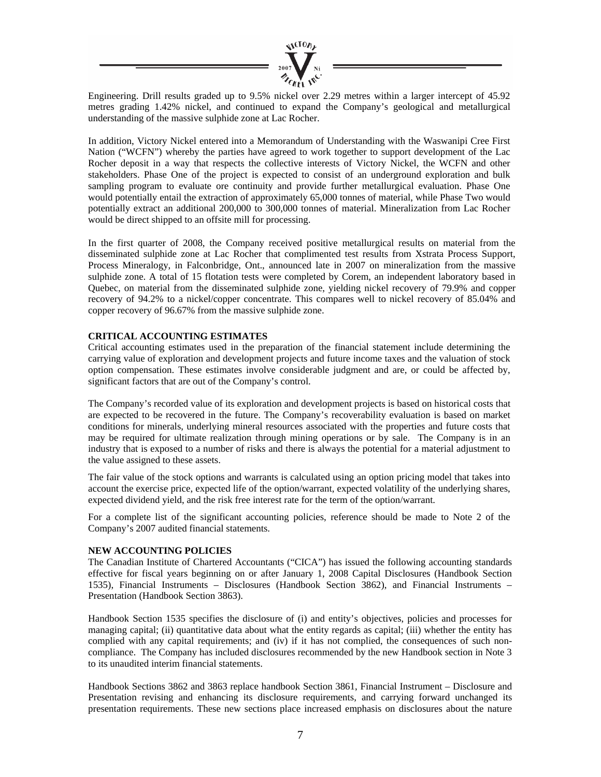

Engineering. Drill results graded up to 9.5% nickel over 2.29 metres within a larger intercept of 45.92 metres grading 1.42% nickel, and continued to expand the Company's geological and metallurgical understanding of the massive sulphide zone at Lac Rocher.

In addition, Victory Nickel entered into a Memorandum of Understanding with the Waswanipi Cree First Nation ("WCFN") whereby the parties have agreed to work together to support development of the Lac Rocher deposit in a way that respects the collective interests of Victory Nickel, the WCFN and other stakeholders. Phase One of the project is expected to consist of an underground exploration and bulk sampling program to evaluate ore continuity and provide further metallurgical evaluation. Phase One would potentially entail the extraction of approximately 65,000 tonnes of material, while Phase Two would potentially extract an additional 200,000 to 300,000 tonnes of material. Mineralization from Lac Rocher would be direct shipped to an offsite mill for processing.

In the first quarter of 2008, the Company received positive metallurgical results on material from the disseminated sulphide zone at Lac Rocher that complimented test results from Xstrata Process Support, Process Mineralogy, in Falconbridge, Ont., announced late in 2007 on mineralization from the massive sulphide zone. A total of 15 flotation tests were completed by Corem, an independent laboratory based in Quebec, on material from the disseminated sulphide zone, yielding nickel recovery of 79.9% and copper recovery of 94.2% to a nickel/copper concentrate. This compares well to nickel recovery of 85.04% and copper recovery of 96.67% from the massive sulphide zone.

#### **CRITICAL ACCOUNTING ESTIMATES**

Critical accounting estimates used in the preparation of the financial statement include determining the carrying value of exploration and development projects and future income taxes and the valuation of stock option compensation. These estimates involve considerable judgment and are, or could be affected by, significant factors that are out of the Company's control.

The Company's recorded value of its exploration and development projects is based on historical costs that are expected to be recovered in the future. The Company's recoverability evaluation is based on market conditions for minerals, underlying mineral resources associated with the properties and future costs that may be required for ultimate realization through mining operations or by sale. The Company is in an industry that is exposed to a number of risks and there is always the potential for a material adjustment to the value assigned to these assets.

The fair value of the stock options and warrants is calculated using an option pricing model that takes into account the exercise price, expected life of the option/warrant, expected volatility of the underlying shares, expected dividend yield, and the risk free interest rate for the term of the option/warrant.

For a complete list of the significant accounting policies, reference should be made to Note 2 of the Company's 2007 audited financial statements.

#### **NEW ACCOUNTING POLICIES**

The Canadian Institute of Chartered Accountants ("CICA") has issued the following accounting standards effective for fiscal years beginning on or after January 1, 2008 Capital Disclosures (Handbook Section 1535), Financial Instruments – Disclosures (Handbook Section 3862), and Financial Instruments – Presentation (Handbook Section 3863).

Handbook Section 1535 specifies the disclosure of (i) and entity's objectives, policies and processes for managing capital; (ii) quantitative data about what the entity regards as capital; (iii) whether the entity has complied with any capital requirements; and (iv) if it has not complied, the consequences of such noncompliance. The Company has included disclosures recommended by the new Handbook section in Note 3 to its unaudited interim financial statements.

Handbook Sections 3862 and 3863 replace handbook Section 3861, Financial Instrument – Disclosure and Presentation revising and enhancing its disclosure requirements, and carrying forward unchanged its presentation requirements. These new sections place increased emphasis on disclosures about the nature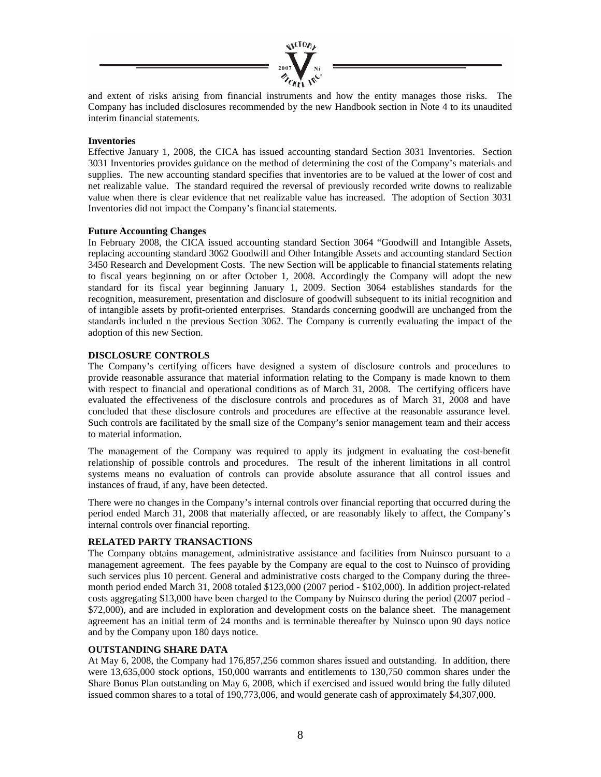

and extent of risks arising from financial instruments and how the entity manages those risks. The Company has included disclosures recommended by the new Handbook section in Note 4 to its unaudited interim financial statements.

#### **Inventories**

Effective January 1, 2008, the CICA has issued accounting standard Section 3031 Inventories. Section 3031 Inventories provides guidance on the method of determining the cost of the Company's materials and supplies. The new accounting standard specifies that inventories are to be valued at the lower of cost and net realizable value. The standard required the reversal of previously recorded write downs to realizable value when there is clear evidence that net realizable value has increased. The adoption of Section 3031 Inventories did not impact the Company's financial statements.

#### **Future Accounting Changes**

In February 2008, the CICA issued accounting standard Section 3064 "Goodwill and Intangible Assets, replacing accounting standard 3062 Goodwill and Other Intangible Assets and accounting standard Section 3450 Research and Development Costs. The new Section will be applicable to financial statements relating to fiscal years beginning on or after October 1, 2008. Accordingly the Company will adopt the new standard for its fiscal year beginning January 1, 2009. Section 3064 establishes standards for the recognition, measurement, presentation and disclosure of goodwill subsequent to its initial recognition and of intangible assets by profit-oriented enterprises. Standards concerning goodwill are unchanged from the standards included n the previous Section 3062. The Company is currently evaluating the impact of the adoption of this new Section.

#### **DISCLOSURE CONTROLS**

The Company's certifying officers have designed a system of disclosure controls and procedures to provide reasonable assurance that material information relating to the Company is made known to them with respect to financial and operational conditions as of March 31, 2008. The certifying officers have evaluated the effectiveness of the disclosure controls and procedures as of March 31, 2008 and have concluded that these disclosure controls and procedures are effective at the reasonable assurance level. Such controls are facilitated by the small size of the Company's senior management team and their access to material information.

The management of the Company was required to apply its judgment in evaluating the cost-benefit relationship of possible controls and procedures. The result of the inherent limitations in all control systems means no evaluation of controls can provide absolute assurance that all control issues and instances of fraud, if any, have been detected.

There were no changes in the Company's internal controls over financial reporting that occurred during the period ended March 31, 2008 that materially affected, or are reasonably likely to affect, the Company's internal controls over financial reporting.

#### **RELATED PARTY TRANSACTIONS**

The Company obtains management, administrative assistance and facilities from Nuinsco pursuant to a management agreement. The fees payable by the Company are equal to the cost to Nuinsco of providing such services plus 10 percent. General and administrative costs charged to the Company during the threemonth period ended March 31, 2008 totaled \$123,000 (2007 period - \$102,000). In addition project-related costs aggregating \$13,000 have been charged to the Company by Nuinsco during the period (2007 period - \$72,000), and are included in exploration and development costs on the balance sheet. The management agreement has an initial term of 24 months and is terminable thereafter by Nuinsco upon 90 days notice and by the Company upon 180 days notice.

#### **OUTSTANDING SHARE DATA**

At May 6, 2008, the Company had 176,857,256 common shares issued and outstanding. In addition, there were 13,635,000 stock options, 150,000 warrants and entitlements to 130,750 common shares under the Share Bonus Plan outstanding on May 6, 2008, which if exercised and issued would bring the fully diluted issued common shares to a total of 190,773,006, and would generate cash of approximately \$4,307,000.